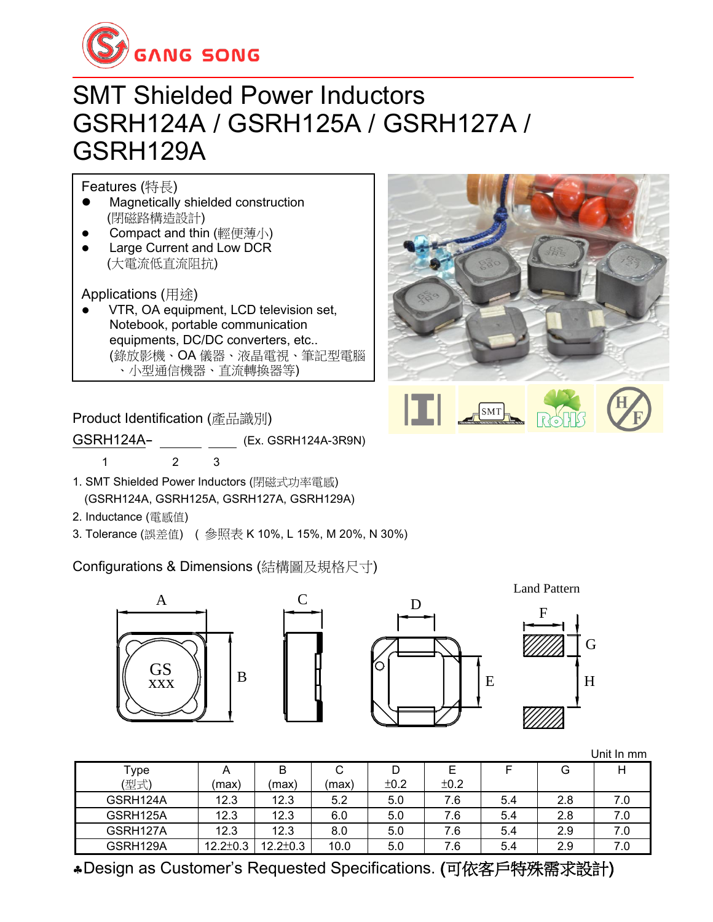

#### SMT Shielded Power Inductors GSRH124A / GSRH125A / GSRH127A / GSRH129A

Features (特長)

- ⚫ Magnetically shielded construction (閉磁路構造設計)
- Compact and thin (輕便薄小)
- ⚫ Large Current and Low DCR (大電流低直流阻抗)

Applications (用途)

⚫ VTR, OA equipment, LCD television set, Notebook, portable communication equipments, DC/DC converters, etc.. (錄放影機、OA 儀器、液晶電視、筆記型電腦 、小型通信機器、直流轉換器等)



GSRH124A- (Ex. GSRH124A-3R9N)

- 1 2 3
- 1. SMT Shielded Power Inductors (閉磁式功率電感) (GSRH124A, GSRH125A, GSRH127A, GSRH129A)
- 2. Inductance (電感值)
- 3. Tolerance (誤差值) ( 參照表 K 10%, L 15%, M 20%, N 30%)

Configurations & Dimensions (結構圖及規格尺寸)









|          |                |                |       |      |      |     |     | Unit In mm |
|----------|----------------|----------------|-------|------|------|-----|-----|------------|
| Type     | A              |                | С     | D    |      |     | G   |            |
| (型式)     | (max)          | (max)          | (max) | ±0.2 | ±0.2 |     |     |            |
| GSRH124A | 12.3           | 12.3           | 5.2   | 5.0  | 7.6  | 5.4 | 2.8 | 7.0        |
| GSRH125A | 12.3           | 12.3           | 6.0   | 5.0  | 7.6  | 5.4 | 2.8 | 7.0        |
| GSRH127A | 12.3           | 12.3           | 8.0   | 5.0  | 7.6  | 5.4 | 2.9 | 7.0        |
| GSRH129A | $12.2 \pm 0.3$ | $12.2 \pm 0.3$ | 10.0  | 5.0  | 7.6  | 5.4 | 2.9 | 7.0        |

Design as Customer's Requested Specifications. (可依客戶特殊需求設計)

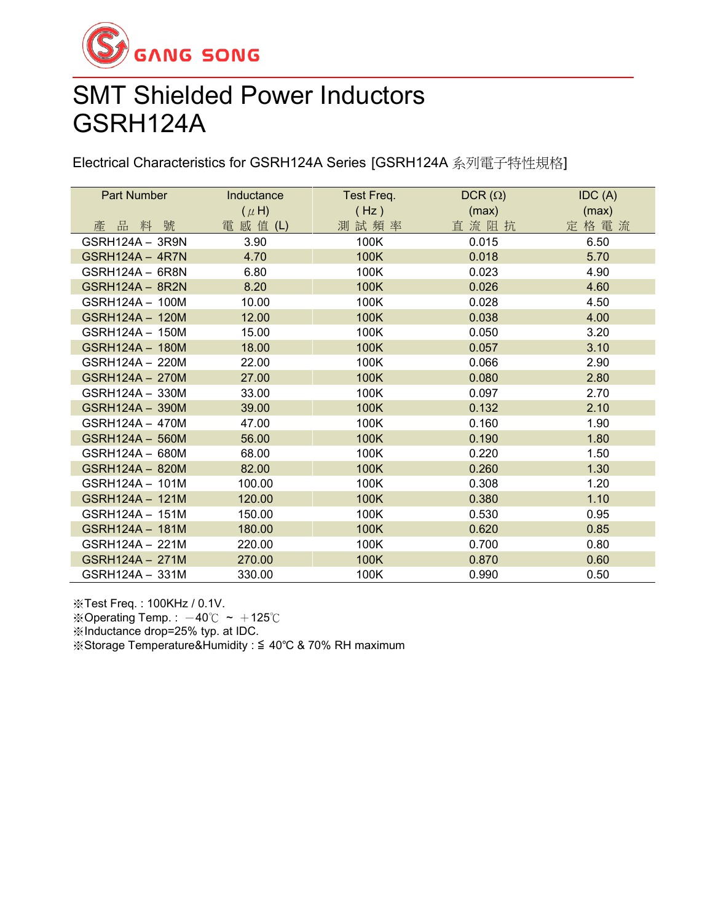

#### SMT Shielded Power Inductors GSRH124A

Electrical Characteristics for GSRH124A Series [GSRH124A 系列電子特性規格]

| Part Number            | Inductance | Test Freq. | $DCR(\Omega)$ | IDC(A) |
|------------------------|------------|------------|---------------|--------|
|                        | $(\mu H)$  | (Hz)       | (max)         | (max)  |
| 產品料號                   | 電 感 值 (L)  | 測試頻率       | 直流阻抗          | 定格電流   |
| GSRH124A - 3R9N        | 3.90       | 100K       | 0.015         | 6.50   |
| GSRH124A - 4R7N        | 4.70       | 100K       | 0.018         | 5.70   |
| GSRH124A - 6R8N        | 6.80       | 100K       | 0.023         | 4.90   |
| <b>GSRH124A - 8R2N</b> | 8.20       | 100K       | 0.026         | 4.60   |
| GSRH124A - 100M        | 10.00      | 100K       | 0.028         | 4.50   |
| GSRH124A - 120M        | 12.00      | 100K       | 0.038         | 4.00   |
| GSRH124A - 150M        | 15.00      | 100K       | 0.050         | 3.20   |
| GSRH124A - 180M        | 18.00      | 100K       | 0.057         | 3.10   |
| GSRH124A - 220M        | 22.00      | 100K       | 0.066         | 2.90   |
| GSRH124A - 270M        | 27.00      | 100K       | 0.080         | 2.80   |
| GSRH124A - 330M        | 33.00      | 100K       | 0.097         | 2.70   |
| GSRH124A - 390M        | 39.00      | 100K       | 0.132         | 2.10   |
| GSRH124A - 470M        | 47.00      | 100K       | 0.160         | 1.90   |
| GSRH124A - 560M        | 56.00      | 100K       | 0.190         | 1.80   |
| GSRH124A - 680M        | 68.00      | 100K       | 0.220         | 1.50   |
| GSRH124A - 820M        | 82.00      | 100K       | 0.260         | 1.30   |
| GSRH124A - 101M        | 100.00     | 100K       | 0.308         | 1.20   |
| GSRH124A - 121M        | 120.00     | 100K       | 0.380         | 1.10   |
| GSRH124A - 151M        | 150.00     | 100K       | 0.530         | 0.95   |
| GSRH124A - 181M        | 180.00     | 100K       | 0.620         | 0.85   |
| GSRH124A - 221M        | 220.00     | 100K       | 0.700         | 0.80   |
| GSRH124A - 271M        | 270.00     | 100K       | 0.870         | 0.60   |
| GSRH124A - 331M        | 330.00     | 100K       | 0.990         | 0.50   |

※Test Freq. : 100KHz / 0.1V.

※Operating Temp. :  $-40^{\circ}$ C ~  $+125^{\circ}$ C

※Inductance drop=25% typ. at IDC.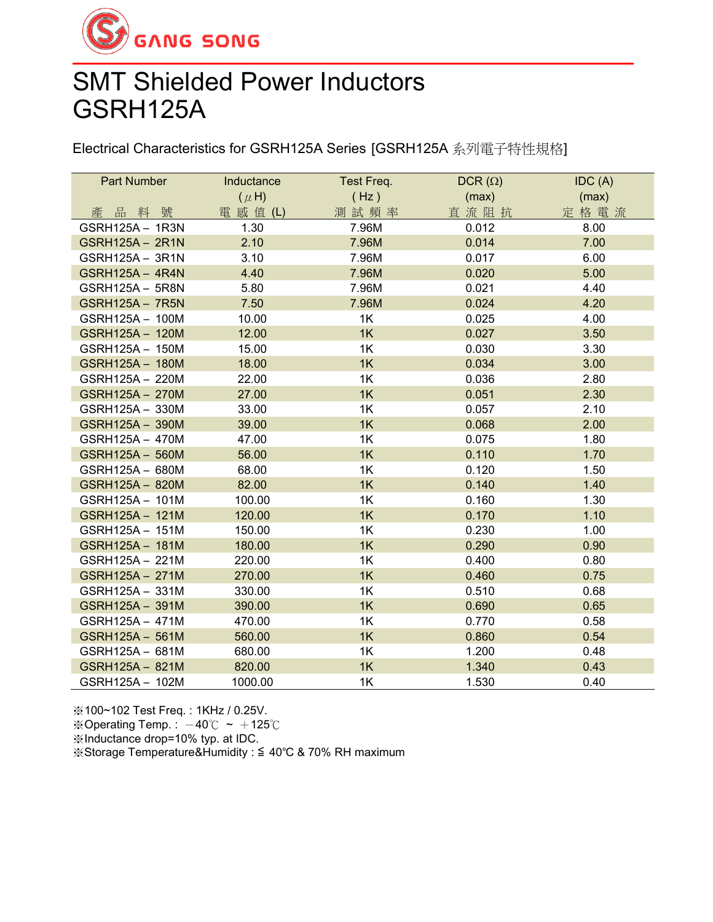

# SMT Shielded Power Inductors GSRH125A

Electrical Characteristics for GSRH125A Series [GSRH125A 系列電子特性規格]

| <b>Part Number</b>     | Inductance | Test Freq.<br>DCR $(\Omega)$ |       | IDC(A) |
|------------------------|------------|------------------------------|-------|--------|
|                        | $(\mu H)$  | (Hz)                         | (max) | (max)  |
| 產品料號                   | 電 感 值 (L)  | 測試頻率                         | 直流阻抗  | 定格電流   |
| GSRH125A - 1R3N        | 1.30       | 7.96M                        | 0.012 | 8.00   |
| <b>GSRH125A - 2R1N</b> | 2.10       | 7.96M                        | 0.014 | 7.00   |
| GSRH125A - 3R1N        | 3.10       | 7.96M                        | 0.017 | 6.00   |
| <b>GSRH125A - 4R4N</b> | 4.40       | 7.96M                        | 0.020 | 5.00   |
| <b>GSRH125A - 5R8N</b> | 5.80       | 7.96M                        | 0.021 | 4.40   |
| <b>GSRH125A - 7R5N</b> | 7.50       | 7.96M                        | 0.024 | 4.20   |
| GSRH125A - 100M        | 10.00      | 1K                           | 0.025 | 4.00   |
| GSRH125A - 120M        | 12.00      | 1K                           | 0.027 | 3.50   |
| GSRH125A - 150M        | 15.00      | 1K                           | 0.030 | 3.30   |
| GSRH125A - 180M        | 18.00      | 1K                           | 0.034 | 3.00   |
| GSRH125A - 220M        | 22.00      | 1K                           | 0.036 | 2.80   |
| GSRH125A - 270M        | 27.00      | 1K                           | 0.051 | 2.30   |
| GSRH125A - 330M        | 33.00      | 1K                           | 0.057 | 2.10   |
| <b>GSRH125A - 390M</b> | 39.00      | 1K                           | 0.068 | 2.00   |
| GSRH125A - 470M        | 47.00      | 1K                           | 0.075 | 1.80   |
| GSRH125A - 560M        | 56.00      | 1K                           | 0.110 | 1.70   |
| GSRH125A - 680M        | 68.00      | 1K                           | 0.120 | 1.50   |
| GSRH125A - 820M        | 82.00      | 1K                           | 0.140 | 1.40   |
| GSRH125A - 101M        | 100.00     | 1K                           | 0.160 | 1.30   |
| GSRH125A - 121M        | 120.00     | 1K                           | 0.170 | 1.10   |
| GSRH125A - 151M        | 150.00     | 1K                           | 0.230 | 1.00   |
| GSRH125A - 181M        | 180.00     | 1K                           | 0.290 | 0.90   |
| GSRH125A - 221M        | 220.00     | 1K                           | 0.400 | 0.80   |
| GSRH125A - 271M        | 270.00     | 1K                           | 0.460 | 0.75   |
| GSRH125A - 331M        | 330.00     | 1K                           | 0.510 | 0.68   |
| GSRH125A - 391M        | 390.00     | 1K                           | 0.690 | 0.65   |
| GSRH125A - 471M        | 470.00     | 1K                           | 0.770 | 0.58   |
| GSRH125A - 561M        | 560.00     | 1K                           | 0.860 | 0.54   |
| GSRH125A - 681M        | 680.00     | 1K                           | 1.200 | 0.48   |
| GSRH125A - 821M        | 820.00     | 1K                           | 1.340 | 0.43   |
| GSRH125A - 102M        | 1000.00    | 1K                           | 1.530 | 0.40   |

※100~102 Test Freq. : 1KHz / 0.25V.

※Operating Temp. :  $-40^{\circ}$ C ~  $+125^{\circ}$ C

※Inductance drop=10% typ. at IDC.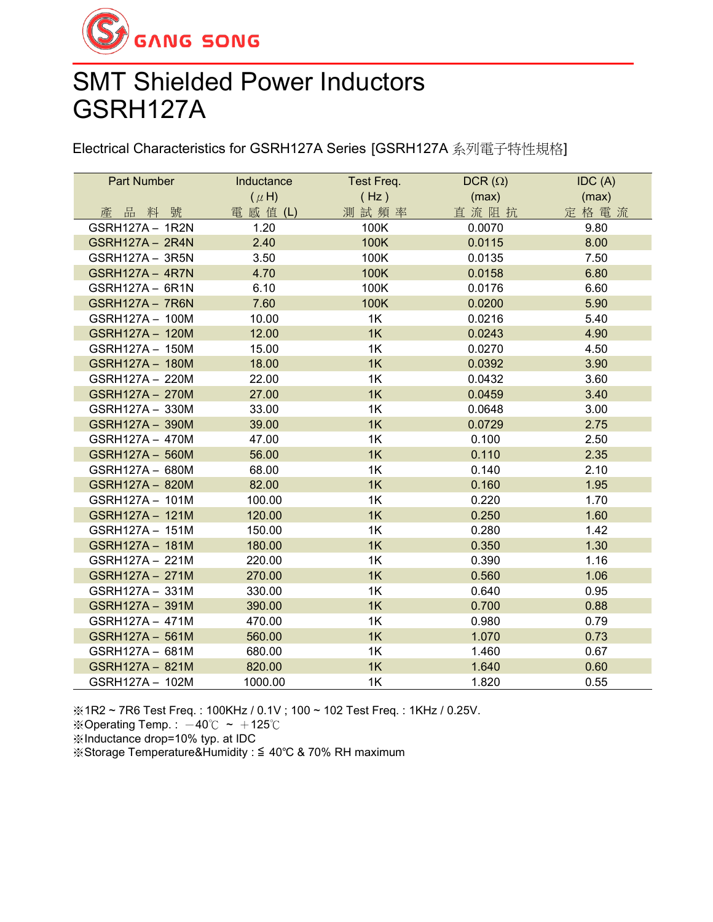

# SMT Shielded Power Inductors GSRH127A

Electrical Characteristics for GSRH127A Series [GSRH127A 系列電子特性規格]

| <b>Part Number</b>     | Inductance | Test Freq. | DCR $(\Omega)$ | IDC(A) |  |
|------------------------|------------|------------|----------------|--------|--|
|                        | $(\mu H)$  | (Hz)       | (max)          | (max)  |  |
| 品料號<br>產               | 電 感 值 (L)  | 測試頻率       | 直流阻抗           | 定格電流   |  |
| GSRH127A - 1R2N        | 1.20       | 100K       | 0.0070         | 9.80   |  |
| <b>GSRH127A - 2R4N</b> | 2.40       | 100K       | 0.0115         | 8.00   |  |
| GSRH127A - 3R5N        | 3.50       | 100K       | 0.0135         | 7.50   |  |
| <b>GSRH127A - 4R7N</b> | 4.70       | 100K       | 0.0158         | 6.80   |  |
| GSRH127A - 6R1N        | 6.10       | 100K       | 0.0176         | 6.60   |  |
| <b>GSRH127A - 7R6N</b> | 7.60       | 100K       | 0.0200         | 5.90   |  |
| GSRH127A - 100M        | 10.00      | 1K         | 0.0216         | 5.40   |  |
| GSRH127A - 120M        | 12.00      | 1K         | 0.0243         | 4.90   |  |
| GSRH127A - 150M        | 15.00      | 1K         | 0.0270         | 4.50   |  |
| GSRH127A - 180M        | 18.00      | 1K         | 0.0392         | 3.90   |  |
| GSRH127A - 220M        | 22.00      | 1K         | 0.0432         | 3.60   |  |
| <b>GSRH127A - 270M</b> | 27.00      | 1K         | 0.0459         | 3.40   |  |
| GSRH127A - 330M        | 33.00      | 1K         | 0.0648         | 3.00   |  |
| GSRH127A - 390M        | 39.00      | 1K         | 0.0729         | 2.75   |  |
| GSRH127A - 470M        | 47.00      | 1K         | 0.100          | 2.50   |  |
| GSRH127A - 560M        | 56.00      | 1K         | 0.110          | 2.35   |  |
| GSRH127A - 680M        | 68.00      | 1K         | 0.140          | 2.10   |  |
| <b>GSRH127A - 820M</b> | 82.00      | 1K         | 0.160          | 1.95   |  |
| GSRH127A - 101M        | 100.00     | 1K         | 0.220          | 1.70   |  |
| GSRH127A - 121M        | 120.00     | 1K         | 0.250          | 1.60   |  |
| GSRH127A - 151M        | 150.00     | 1K         | 0.280          | 1.42   |  |
| GSRH127A - 181M        | 180.00     | 1K         | 0.350          | 1.30   |  |
| GSRH127A - 221M        | 220.00     | 1K         | 0.390          | 1.16   |  |
| GSRH127A - 271M        | 270.00     | 1K         | 0.560          | 1.06   |  |
| GSRH127A - 331M        | 330.00     | 1K         | 0.640          | 0.95   |  |
| GSRH127A - 391M        | 390.00     | 1K         | 0.700          | 0.88   |  |
| GSRH127A - 471M        | 470.00     | 1K         | 0.980          | 0.79   |  |
| GSRH127A - 561M        | 560.00     | 1K         | 1.070          | 0.73   |  |
| GSRH127A - 681M        | 680.00     | 1K         | 1.460          | 0.67   |  |
| GSRH127A - 821M        | 820.00     | 1K         | 1.640          | 0.60   |  |
| GSRH127A - 102M        | 1000.00    | 1K         | 1.820          | 0.55   |  |

※1R2 ~ 7R6 Test Freq. : 100KHz / 0.1V ; 100 ~ 102 Test Freq. : 1KHz / 0.25V.

※Operating Temp.: -40℃ ~ +125℃

※Inductance drop=10% typ. at IDC